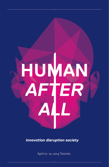

# *innovation disruption society*

April 10–12, 2014 Toronto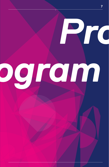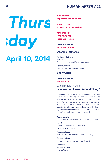

**8:00–12:00 PM Registration and Exhibits**

**9:00–5:00 PM Young Scholars Workshop**

**TORONTO ROOM 10:15–10:45 AM Press Conference**

# **CANADIAN ROOM 12:00–12:50 PM**

# **Opening Remarks**

Rohinton Medhora President, Centre for International Governance Innovation

Robert Johnson President, Institute for New Economic Thinking

# **Show Open**

# **CANADIAN ROOM 1:00–2:45 PM**

LUNCH KEYNOTE (OPENING)

# **Is Innovation Always A Good Thing?**

Technology and innovation create "disruption." That basically means creating new markets or value networks, which eventually disrupts earlier technologies. New products, new inventions, new sources of demand are all possible. Yet, the very innovation that creates these opportunities also can create job losses as well as having signifcant distributional consequences for society as a whole. The panel seeks to explore this duality.

# James Balsillie

Chair, Centre for International Governance Innovation

Lisa Cook Professor, Department of Economics, Michigan State University

Robert Johnson President, Institute for New Economic Thinking

Richard Nelson Professor of Economics, Columbia University

*Moderator* Richard Waters *Financial Times*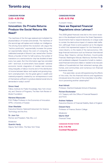# **CANADIAN ROOM 3:00–4:30 PM**

PLENARY PANEL

# **Innovation: Do Private Returns Produce the Social Returns We Need?**

The machines of the first age replaced and multiplied the physical labour of humans and animals. The machines of the second age will replace and multiply our intelligence. The driving force behind this revolution will, argue the "techno-positivists," exponentially increase the power (or exponentially reduce the cost) of computing. The celebrated example is Moore's Law, named after Gordon Moore, a founder of Intel. For half a century, the number of transistors on a semiconductor chip has doubled at least every two years. But the information age has coincided with—and must, to some extent, have caused—adverse economic trends: stagnation of median real incomes; rising inequality of labour income and of the distribution of income between labour and capital; and growing longterm unemployment. Are the great gains in wealth and material prosperity created by our entrepreneurs in and of themselves sufficient to produce desired social returns demanded in today's world?

# Simon Head

Fellow, Institute for Public Knowledge, New York University, and Director of Programs, The *New York Review of Books* Foundation

#### Mariana Mazzucato

R.M. Phillips Professor in the Economics of Innovation, SPRU, University of Sussex

Stian Westlake Executive Director, National Endowment for Science Technology and the Arts

Dr. Joon Yun Partner and President, Palo Alto, LLC

*Moderator* Quentin Hardy Deputy Tech Editor, *The New York Times*

# **CANADIAN ROOM 4:45–6:15 PM**

PLENARY PANEL

# **Have we Repaired Financial Regulations since Lehman?**

The 2008 global fnancial crisis led to the worst recession in the developed world since the Great Depression. Governments had to respond decisively on a large scale to contain the destructive impact of massive debt defation, (although there is some question as to the degree to which this represented support for the fnancial services industry vs the needs of the real economy). Still, large fnancial institutions such as American International Group, Bear Stearns, Lehman Brothers, Countrywide Financial, Washington Mutual, Wachovia, Northern Rock, and Landsbanki collapsed; thousands of small-to-mediumsized fnancial institutions failed or needed to be rescued; millions of households lost their retirement savings, jobs, homes, and communities; and numerous non-fnancial businesses closed.

Five years later, we are still experiencing the effects of the crisis. Are the fnancial reforms and regulations introduced since the onset of the crisis likely to be efective in preventing another catastrophe?

# Anat Admati

Professor, Stanford Graduate School of Business

# Richard Bookstaber

U.S. Treasury with the Office of Financial Research and FSOC

Andrew Haldane Executive Director of Financial Stability, Bank of England

Edward Kane Professor of Finance, Boston College

*Moderator* Martin Wolf *Financial Times*

**CANADIAN ROOM FOYER 6:15–7:15 PM Cocktail Reception**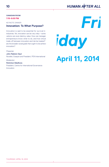# HUMAN AFTER ALL

# **CANADIAN ROOM 7:15–9:00 PM**

KEYNOTE DINNER

# **Innovation: To What Purpose?**

Innovation is said to be essential for survival in industries. Yet, innovation can be very risky-some vations can even destroy value. How can managers entrepreneurs know what to do, and how should trade-off between innovation and risk be treated? " are the broader social goals that ought to be achieved innovation?

# *Presenter*

# John Ralston Saul

Novelist, Essayist and President, PEN International

*Moderator*

# Rohinton Medhora

President, Centre for International Governance Innovation

# **April 11, 2014** *Fri iday*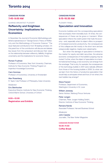# **CANADIAN ROOM 7:45–9:00 AM**

SUNRISE BREAKFAST PLENARY

# **Refexivity and Knightean Uncertainty: Implications for Economics**

In December the *Journal of Economic Methodology* published a special issue on "George Soros's Theory of Refexivity and the Methodology of Economic Science." The issue featured contributions from 18 leading scholars. On this panel four of the contributors will discuss and debate key issues from the symposium and discuss their views on the relationship between refexivity, fallibility, Knightian uncertainty and the implications for economic theory.

# Roman Frydman

Professor of Economics, New York University, Chairman, Institute for New Economic Thinking Program on Imperfect Knowledge Economics

Cars Hommes Professor of Economics, University of Amsterdam

Alex Rosenberg R. Taylor Cole Professor of Philosophy, Duke University *Moderator*

Eric Beinhocker Executive Director, Institute for New Economic Thinking, Oxford Martin School, University of Oxford

**8:00—12:00 Registration and Exhibits**

# **CANADIAN ROOM 9:15–10:30 AM**

PLENARY PANEL

# **Speculation and Innovation**

Economic bubbles and the corresponding speculation that accompany them inevitably bust. At times, the consequences of these can be grave or transient. When speculation infects the credit system that fuels the economy-and, especially when its object offers no prospect of increased economic productivity, the consequences of this collapse are felt mostly in the short term and are unequivocally negative, maybe even catastrophic.

But when the damage of speculation is limited to the market for equity and debt securities, the adverse economic consequences of the bubble's popping may be muted. Further, when the object of speculation is a transformational technology, a new economy can emerge from the wreckage. That is why, for example, the consequences of the technology bubble in 2001 were radically diferent from those of the housing bubble in 2008. So what can we learn from the history of productive speculation that would help us anticipate where and how (if not when) the next bubble may emerge?

# Steve Fazzari

Professor, Department of Economics, Washington University in St. Louis

William Janeway Senior Advisor, Warburg Pincus Ventures

Peter Jungen Chairman, Peter Jungen Holding GmbH, Director, Institute of New Economic Thinking

Ramana Nanda Associate Professor, Harvard Business School

*Moderator* John Cassidy Journalist, *The New Yorker Magazine*

**CANADIAN ROOM FOYER 10:30–11:00 Cofee Break**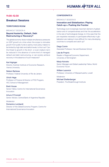# **11:00–12:30**

# **Breakout Sessions**

# **TERRITORIES ROOM**

BREAKOUT SESSION A

# **Beyond Austerity: Default, Debt Restructuring or Recovery?**

The global economy faces multiple simultaneous pressures on GDP growth at a time when the scope to stimulate growth from public funds is said by most policy makers to be limited by high debt and deficit levels. Is this true? Can the threat to growth in the short- or even medium-term be reduced in the absence of some kind of managed default and debt restructuring, or can society achieve recovery in the absence of such measures?

# Karl Aiginger

Director, Austrian Institute of Economic Research, Vienna University

Nelson Barbosa Professor, Federal University of Rio de Janiero

Ulrich Hege Professor of Finance & Director of PhD Program, HEC School of Management

Brett House Senior Fellow, Centre for International Governance Innovation

Arturo O'Connell Senior Advisor, Central Bank of Argentine Republic

*Moderator*

# Domenico Lombardi

Director of the Global Economy Program, Centre for International Governance Innovation

# **CONFEDERATE 6**

# BREAKOUT SESSION B

# **Innovation and Globalization: Playing Catch-up v. Pushing the Frontier**

Technology is an increasingly important element of globalization and of competitiveness and that the acceleration in the rate of technological change. Is it the case that the pre-requisites necessary to participate effectively in globalization are making it more difficult for many developing countries to compete and catch up?

# Diego Comin

Associate Professor, Harvard Business School

Lise de Propris Reader in Regional Economic Department, University of Birmingham

Marjo Koivisto Senior Manager and Global Leadership Fellow, World Economic Forum

William Lazonick Professor, University of Massachusetts, Lowell

*Moderator* Michael Shellenberger President, The Breakthrough Institute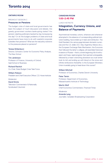# **ONTARIO ROOM**

BREAKOUT SESSION C

# **Pressures on Pensions**

The budget crisis of state and local governments has been the subject of much discussion and debate. Are greedy government workers bankrupting states? Are pension-slashing politicians backed by big moneysaving the day? Or do the budget problems of state and local governments have more to do with wasteful corporate subsidies than pensions? What are the real policy solutions to the pressures placed on pensions?

# Teresa Ghilarducci

Director, Schwartz Center for Economic Policy Analysis, The New School

Tim Jenkinson Professor of Finance, University of Oxford, Said School of Business

Richard Ravitch Co-Chair, State Budget Crisis Task Force

William Robson President and Chief Executive Officer, C.D. Howe Institute

*Moderator*

David Sirota Television Commentator & Nationally Syndicated Columnist

# **CANADIAN ROOM 1:00–2:45 PM**

#### LUNCH KEYNOTE

# **Integration, Currency Unions, and Balance of Payments**

Asymmetrical monetary unions, wherever and whenever attempted in the absence of corresponding political institution building, have ended up in tears and retribution. The Gold Standard, the various pegs between domestic currencies and the U.S. dollar (S.E. Asia, Argentina, Mexico etc.), the European Exchange Rate Mechanism, the Eurozone that followed the latter's collapse, all resembled historical invasions of Russia—that is, a brisk beginning full of enthusiasm and hope, rapid progress that seemed unstoppable, followed by a heart wrenching slowdown as cruel winter took its toll, and ending up with blood on the snow and infinite retributions thereafter. Is the European Monetary Union invariably going to head down this course?

# William Mitchell

Professor of Economics, Charles Darwin University

Peter Temin Professor, Department of Economics, Massachusetts Institute of Technology

Martin Wolf Chief Economics Commentator, *Financial Times*

*Moderator*

Amanda Lang Journalist, Canadian Broadcasting Corporation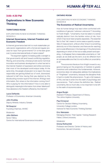# **3:00–4:30 PM**

# **Explorations in New Economic Thinking**

# **TERRITORIES ROOM**

# EXPLORATIONS IN NEW ECONOMIC THINKING SESSION A

# **Internet Governance, Internet Freedom and Economic Freedom**

Is Internet governance best left to multi-stakeholder private sector organizations with a formal and regular process for input from governments? Or is this best given over to some international body of nation states?

The argument against increasing public oversight is that governments will tend toward conficting regulation, fltering, and censorship, whereas private sector technical innovation and business development is what has led to the Internet freedom of expression and online commerce that most of the developed world enjoys today. At the same time, the people whose job it is to report the news responsibly are getting kicked out of work, downsized, reduced to half time, having their pay slashed, by this bloodsucking monster squid of the Internet. All blogs need information. But where is the information coming from? Who is paying for the information? How is one able to distinguish meaningful information from sheer falsehood? How absolute is the freedom offered by the Internet?

# Laura DeNardis

Professor of Economics, American University

John Knubley Deputy Minister, Industry Canada

Nii Quaynor Founding Chairman, AfriNIC

*Moderator*

John Ibbitson Senior Fellow, Centre for International Governance Innovation

# **ONTARIO ROOM**

**EXPLORATIONS IN NEW ECONOMIC THINKING** SESSION B

# **The Economics of Radical Uncertainty**

How do human beings truly react when confronted with conditions of genuine "unknown unknowns"? According to Frank Knight, "Uncertainty must be taken in a sense radically distinct from the familiar notion of risk, from which it has never been properly separated...The essential fact is that 'risk' means in some cases a quantity susceptible of measurement, while at other times it is something distinctly not of this character; and there are far-reaching and crucial diferences in the bearings of the phenomena depending on which of the two is really present and operating...It will appear that a measurable uncertainty, or 'risk' proper, as we shall use the term, is so far diferent from an unmeasurable one that it is not in efect an uncertainty at all."

The economics literature from Knight onward is very good at laying out the propensity of markets to greatly overshoot and undershoot the fundamentals. However, economics does not adequately address the implications of "Knightean" uncertainty, because the discipline fnds it hard to model this phenomenon. To get a full measure of this, one has to enter into the realm of psychology and neuroscience. That's where the defnition lies. Radical uncertainty, like so much else, is too important to be left to the realm of economics alone.

# Angus Burgin

Assistant Professor, Department of History, The Johns Hopkins University

# Paul Ormerod

Centre for Decision Making Uncertainty, University College London, Institute for New Economic Thinking Grantee

# Eric Weinstein

Managing Director, Thiel Capital / Visiting Research Fellow, Oxford University

#### *Moderator*

# Emma Rothschild

Professor and Director, Center of History and Economics, Harvard University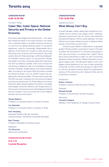# **CANADIAN ROOM 4:45–6:15 PM**

PLENARY PANEL

# **Cyber War, Cyber Space: National Security and Privacy in the Global Economy**

Information technologies and infrastructure—from satellites orbiting the earth to the smart phones in our hands, from undersea cables to wireless networks all around us, and from the global banking system to household appliances—play an increasingly indispensable role in daily life. At the same time, threats to cyber security are becoming more numerous and more serious. How does society deal with these seemingly conficting challenges? As President Obama, senior U.S. government officials, and heads of private companies plead their ignorance, the NSA surveillance scandal, which now involves the monitoring of telephone calls of world leaders including German Chancellor Angela Merkel, sows doubt between allies. According to the secret NSA documents unveiled by Edward Snowden, the U.S. SIGINT system has targeted both enemies and allies. The documents show that the NSA has been snooping not only around European countries, but also around U.S. Pacifc allies such as South Korea and Japan, aiming to gather information on strategic technologies, economic infuence, and foreign policy, for the purpose of ensuring economic advantage and national security interests. How do we strike the correct balance between security and privacy?

#### Steven Bellovin

Professor of Computer Science, Columbia University

Yvo Desmedt Professor of Computer Science, University of Texas

#### Amir Herzberg

Associate Professor, Bar Ilan University Visiting Professor, Technische Universitat Darmstadt

Bart Preneel Professor, Katholieke Universiteit Leuven

*Moderator* Tim Shorrock Writer and Commentator

**CANADIAN ROOM FOYER 6:15–7:15 Cocktail Reception**

# **CANADIAN ROOM 7:15–9:00 PM**

DINNER KEYNOTE

# **What Money Can't Buy**

In recent decades, market values have crowded out nonmarket norms in almost every aspect of life—medicine, education, government, law, art, sports, even family life and personal relations. Without quite realizing it, we have drifted from *having* a market economy to *being* a market society. Is this where we want to be?

Should we pay children to read books or to get good grades? Should we allow corporations to pay for the right to pollute the atmosphere? Is it ethical to pay people to test risky new drugs or to donate their organs? What about hiring mercenaries to fight our wars? Auctioning admission to elite universities? Selling citizenship to immigrants willing to pay? This discussion takes on one of the biggest ethical questions of our time: Is there something wrong with a world in which everything is for sale? And if so, how can we prevent market values from reaching into spheres of life where they don't belong? What are the moral limits of markets?

#### *Introduction*

Robert Johnson President, Institute of New Economic Thinking

*Presenter*

Michael Sandel

Professor of Government, Harvard University

*Discussant*

Chrystia Freeland

Member of the Parliament of Canada, Toronto Centre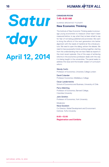

# **CANADIAN ROOM 7:45–9:00 AM**

SUNRISE BREAKFAST PLENARY

# **New Economic Thinking**

The Institute of New Economic Thinking seeks to encourage young economists to measure what hasn't been measured before, to say what they've been afraid to say for fear of not being published and promoted. We want to bring the efforts of the next generation into better alignment with the needs of mankind at this critical juncture. We need to open the dialog, enliven the debate. We need to have purposeful minds working together, starting from the understanding that we have failed as experts in the most recent episode. One of the ways of achieving reforms in the economics profession deals with the way it is being taught in the universities. The panel seeks to address this issue and the broader subject of curriculum reform.

# Wendy Carlin

Professor of Economics, University College London

David Colander Professor Economics, Middlebury College

Oscar Landerretche School of Economics and Business, University of Chile

Perry Mehrling Professor of Economics, Barnard College, Columbia University

John Smithin Professor of Economics, York University

*Moderator*

Neva Goodwin Co-Director, Global Development and Environment Institute, Tufts University

**8:00—12:00 Registration and Exhibits**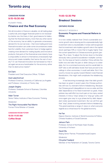# **CANADIAN ROOM 9:15–10:30 AM**

PLENARY PANEL

# **Finance and the Real Economy**

Not all innovation in fnance is valuable, not all trading plays a useful role, and a bigger fnancial system is not necessarily a better one. Are there, in fact, good reasons for believing that the fnancial industry, more than any other sector of the economy, has an ability to generate unnecessary demand for its own services—that more trading and more fnancial innovation can under some circumstances create harmful volatility that customers have to hedge against, creating more demand for trading liquidity and innovative products; that parts of the fnancial services industry have a unique ability to attract to themselves unnecessarily high returns and create instability that harms the rest of society? Or can fnancial innovation be harnessed so that it yet again serves as a handmaiden for the economy, rather than its destructive master?

# Ed Clark

President and Chief Executive Officer, TD Bank

# Axel Leijonhufvud

Professor Emeritus, University of California Los Angeles and Professor, University of Trento, Italy

# Joseph Stiglitz

Professor, Graduate School of Business, Columbia **University** 

Adair Turner Senior Fellow, Institute of New Economic Thinking

*Moderator* The Right Honourable Paul Martin Former Prime Minister of Canada

# **CANADIAN ROOM FOYER 10:30–11:00 AM Cofee Break**

# **11:00–12:30 PM**

**Breakout Sessions**

# **ONTARIO ROOM**

#### BREAKOUT SESSION A

# **Economic Progress and Financial Reform in China**

It is now widely realized that China's sustainable economic growth rate is slowing and its unprecedentedly high investment ratio is unsustainable. It is less well recognized that its investment ratio implies a growth rate in the capital stock (perhaps 12% or more) that is hugely higher than the current speed limit on Chinese economic growth (perhaps 7% or less). To adjust the former down to the latter obviously risks a powerful accelerator multiplier contraction. So the issue at hand is whether China will bite the bullet now and take the pain or defer doing so to a later date. As it is a command economy and its overall debt to GDP ratio is still well below levels that have proved to be ceilings in other economies, it could well defer. But if the country moves too quickly toward Western style fnancial liberalization, this might well complicate the rebalancing process.

It has becoming increasingly clear that debt growth has been so great in recent years the Chinese authorities will now try restraint/reform/rebalancing. Because the Chinese growth disequilibrium is now so wide, and the debt dependence of its fxed investment so great, these policies may well infict too much pain on too many vested interests. In time a "stop" phase of a "stop go" policy will once again give way to a go phase led by debt dependent state-sponsored investment. But we will first get that "stop" phase involving restraint/reform/rebalancing. This panel examines a range of views on what everyone regards as a critical issue for the global economy.

#### He Fan

Deputy Director, Institute of World Economics & Politics, Chinese Academy of Social Sciences

# Jehoon Park

Professor, School of Northeast Asian Studies, University of Incheon

David Wu Beijing Senior Partner, PricewaterhouseCoopers

*Moderator*

# Chrystia Freeland

Member of the Parliament of Canada, Toronto Centre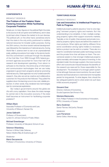# **CONFEDERATE 6**

BREAKOUT SESSION B

# **The Problem of the Predator State: Fostering Innovation While Facilitating Corporate Predation**

Simply put, to many figures on the political Right the state is the source of all corruption and inefficiency, and it does its job best when it leaves the market to its own devices. The political Left, on the other hand, sometimes retorts that the state is the only entity positioned to mobilize national resources for broader public purposes. During the 20th century, the drive toward national development was followed by the imperative of national security. During World War II, science went to war on an unprecedented scale, yielding innovations from radar to the atomic bomb. And the commitment continued through the decades of the Cold War. From 1950 through 1978, federal government agencies accounted for more than half of all research and development spending. From silicon to software to the Internet, the entire array of information and communication technologies that we use today originated in government programs aimed at promoting national security. State agencies not only funded scientifc research, they also served as creative and collaborative customers for the products that followed. They pulled the suppliers down the learning curve to low cost, reliable production. In other words, they rendered new technologies ripe for commercial exploitation.

But today's governments around the globe are rife with crony capitalism. How does the state manage its central role in the innovation economy if the state itself becomes an instrument for facilitating corporate predation?

#### William Black

Associate Professor of Economics and Law, University of Missouri, Kansas City

# James Galbraith

Professor of Government, Lyndon B. Johnson School of Public Afairs

# Michael Greenberger

Professor, University of Maryland, School of Law

# Solomon Wisenberg

Partner in White Collar Defense, Nelson Mullins Riley & Scarborough LLP

# *Moderator*

#### Mario Seccareccia

Professor of Economics, University of Ottawa

#### **TERRITORIES ROOM**

#### BREAKOUT SESSION C

# **Law and Innovation: Is Intellectual Property a Path to Progress**

Intellectual property patents assume a "one-to-one mapping" between property rights and markets. But this understanding is too simplistic. In fact, multiple overlapping property rights often support economic markets. Typically, a mix of public (free access) and private (covered by property rights) inputs are behind the creation of most products. When rights are held by diferent frms some coordination among rights holders is necessary before a product can be sold on a market. There also is a need for coordination between public technology sources and the private frms that will draw on them. The conventional wisdom is that stronger intellectual property rights inevitably will increase the pace of inventing. In the standard model, the stronger a patent, the more inventive effort and outcome are induced because the benefits of the research are reserved for those responsible for the development. The drawback of a stronger patent system is that although there are more inventions, the use of each discrete technical advance is restricted and monopolies persist for long periods. To what degree, then, should the law safeguard patents and to what extent do such laws inhibit economic progress?

#### Giovanni Dosi

Director, Institute of Economics, Scuola Superiore Sant'Anna in Pisa

#### Mariana Mazzucato,

R.M. Phillips Professor in the Economics of Innovation, SPRU, University of Sussex

# Barry Sookman

Senior Partner, McCarthy Tétrault

# *Moderator*

Lynn Parramore Senior Editor, Alternet.org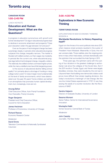# **CANADIAN ROOM 1:00–2:45 PM**

LUNCH KEYNOTE

# **Education and Human Development: What are the Questions?**

Is progress in education synonymous with growth and human development? Do lags in educational progress lead to declines in economic attainment and prosperity? Does poor education widen the gap between rich and poor?

Even as the pace of technological change has been surprisingly steady, in periods when educational progress outpaces this change, inequality narrows. The market is fooded with skilled workers, so their wages rise modestly. In periods like the current one, when educational progress lags behind technological change, inequality widens. The relatively few skilled workers command higher prices, while the many unskilled ones have little bargaining power.

Is the source of educational decline falling school quality? Is it primarily about a shortage of funding or rising college tuition costs? Or does it begin more fundamentally at the level of family environments, which have deteriorated over the past 40 years? Some children are bathed in an atmosphere that promotes human capital development, but, increasingly, more are not.

#### Anurag Behar

Chief Executive Officer, Azim Premji Foundation, Vice Chancellor, Premji University

Roger Benjamin President and Chief Executive Officer. Council for Aid to Education

James Heckman Professor of Economics, University of Chicago

Richard Reeves Economic Research Center

*Moderator* David Sirota Television Commentator & Nationally Syndicated **Columnist** 

# **3:00–4:30 PM**

# **Explorations in New Economic Thinking**

# **TERRITORIES ROOM**

EXPLORATIONS IN NEW ECONOMIC THINKING SESSION A

# **Worldwide Revolutions: Is History Repeating Itself?**

Egypt is in the throes of its worst political crisis since 2011, when massive street protests resulted in the ouster of President Hosni Mubarak. Meanwhile, in Syria, the civil war worsens daily. Those realities, plus the ongoing problems in many other Arab states, contrast dramatically with the optimism that surrounded the Arab Spring in 2011.

Three years ago, the optimism came with the ousting of four dictators in the greatest challenge to authoritarian rule since the collapse of the Soviet bloc. But if the 2011 revolts in Tunisia, Egypt, and Yemen were largely bloodless victories, they were clouded by the civil war in Libya and fears that building new democratic states could prove more difficult than simply toppling dictators. Are today's revolutions a harbinger of real change, like the one the United States experienced in 1776? Or are they sewing the seeds of a counter-revolution, like the Revolutions of 1848?

Sandra Halperin Director of Graduate Studies, University of London

#### Bessma Momani

Senior Fellow, Centre for International Governance Innovation

Mustapha Nabli former Governor, Central Bank of Tunisia

*Moderator*

John Cassidy Journalist, *The New Yorker*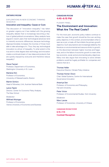# **ONTARIO ROOM**

# **EXPLORATIONS IN NEW ECONOMIC THINKING** SESSION B

# **Innovation and Inequality: Cause or Cure**

The discussion of "innovation inequality" has taken on greater urgency as it has melded with the growing inequality debate that is increasingly becoming a feature of global political conversations. Many analysts have argued in recent years that technological advances tend to intensify economic diferences, because technology disproportionately increases the incomes of those most able to take advantage of it. Thus, they say, technological innovation is a driver of inequality. To what extent is this true and to what degree does technology and innovation create a continual stream of new ideas and products that are quickly enjoyed by everyone and therefore reduce inequality?

# Steve Fazzari

Professor, Department of Economics, Washington University in St. Louis

Marlene Kim Professor of Economics, University of Massachusetts, Boston

Martin Schürz Head of Monetary Unit, Austrian National Bank

Lance Taylor Director, Center for Economic Policy Analysis, The New School

#### *Moderator*

Wilfried Altzinger Professor of Economics, Vienna University of Economics and Business

# **CANADIAN ROOM 4:45–6:15 PM**

PLENARY PANEL

# **The Environment and Innovation: What Are The Real Costs?**

For the most part, economic policy makers continue to make the case that growth should be the over-arching policy objective. In this context, environmentalism often is seen as a cost, a trade-off that inhibits the primary growth objective. Such assumptions are increasingly belied by the literature on environmental and resource limits to growth, on the disconnect between higher incomes and happiness, and on the failure of economic growth to meet other key economic, social, and environmental policy objectives. Many now also argue that innovating to solve climate problems would be hugely proftable for companies and nations that do it.

Thomas Heller Executive Director, Climate Policy Initiative

Thomas Homer-Dixon Chair, Global Systems, Centre for International Governance Innovation

Amartya Sen Professor of Economics and Philosophy, Harvard University

Peter Victor Professor of Environmental Studies, York University

*Moderator*

Marc Lavoie Professor of Economics, University of Ottawa

**CANADIAN ROOM FOYER 6:15–7:15 Cocktail Reception**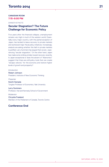# **CANADIAN ROOM 7:15–9:00 PM**

DINNER KEYNOTE

# **Secular Stagnation? The Future Challenge for Economic Policy**

Five years after the fnancial collapse, unemployment remains very high in much of the western world. Essentially every major country, with the partial exception of Japan, has tended to leave recovery to private markets and eschewed major fscal policy initiatives. Increasingly, analysts are asking whether this faith in private markets is justifed. Larry Summers has argued that we are , experiencing "secular stagnation." On the other hand, Japan has made some striking strides toward recovery recently. Is Japan exceptional or does the advent of "Abenomics" suggest that there are still policy tools that can create "escape velocity" for the economy and restore higher levels of growth and prosperity?

# *Introduction*

#### Robert Johnson

President, Institute of New Economic Thinking

*Presenter* Koichi Hamada Tungtex Professor of Economics, Yale University

Larry Summers Professor, Harvard Kennedy School of Government

#### *Moderator*

Chrystia Freeland Member of the Parliament of Canada, Toronto Centre

# **Conference End**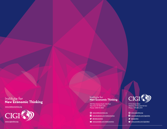# Institute for<br>New Economic Thinking

300 Park Avenue South, 5th Floor New York, NY 10010 USA Phone: 1.646.751.4900

- **WWW.ineteconomics.org**
- **f** www.facebook.com/ineteconomics
- **W** @ineteconomics
- **D** www.youtube.com/ineteconomics



57 Erb Street West Waterloo, ON Canada N2l 6c2 Phone: 1.519.885.2444

| Www.cigionline.org |
|--------------------|
|                    |

**F** www.facebook.com/cigionline

- @cigionline
- www.youtube.com/cigivideos